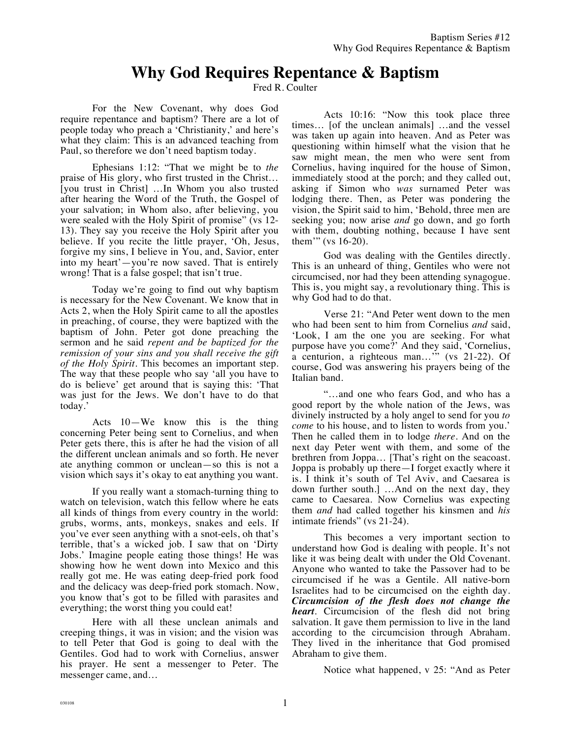## **Why God Requires Repentance & Baptism**

Fred R. Coulter

For the New Covenant, why does God require repentance and baptism? There are a lot of people today who preach a 'Christianity,' and here's what they claim: This is an advanced teaching from Paul, so therefore we don't need baptism today.

Ephesians 1:12: "That we might be to *the* praise of His glory, who first trusted in the Christ… [you trust in Christ] …In Whom you also trusted after hearing the Word of the Truth, the Gospel of your salvation; in Whom also, after believing, you were sealed with the Holy Spirit of promise" (vs 12- 13). They say you receive the Holy Spirit after you believe. If you recite the little prayer, 'Oh, Jesus, forgive my sins, I believe in You, and, Savior, enter into my heart'—you're now saved. That is entirely wrong! That is a false gospel; that isn't true.

Today we're going to find out why baptism is necessary for the New Covenant. We know that in Acts 2, when the Holy Spirit came to all the apostles in preaching, of course, they were baptized with the baptism of John. Peter got done preaching the sermon and he said *repent and be baptized for the remission of your sins and you shall receive the gift of the Holy Spirit.* This becomes an important step. The way that these people who say 'all you have to do is believe' get around that is saying this: 'That was just for the Jews. We don't have to do that today.'

Acts 10—We know this is the thing concerning Peter being sent to Cornelius, and when Peter gets there, this is after he had the vision of all the different unclean animals and so forth. He never ate anything common or unclean—so this is not a vision which says it's okay to eat anything you want.

If you really want a stomach-turning thing to watch on television, watch this fellow where he eats all kinds of things from every country in the world: grubs, worms, ants, monkeys, snakes and eels. If you've ever seen anything with a snot-eels, oh that's terrible, that's a wicked job. I saw that on 'Dirty Jobs.' Imagine people eating those things! He was showing how he went down into Mexico and this really got me. He was eating deep-fried pork food and the delicacy was deep-fried pork stomach. Now, you know that's got to be filled with parasites and everything; the worst thing you could eat!

Here with all these unclean animals and creeping things, it was in vision; and the vision was to tell Peter that God is going to deal with the Gentiles. God had to work with Cornelius, answer his prayer. He sent a messenger to Peter. The messenger came, and…

Acts 10:16: "Now this took place three times… [of the unclean animals] …and the vessel was taken up again into heaven. And as Peter was questioning within himself what the vision that he saw might mean, the men who were sent from Cornelius, having inquired for the house of Simon, immediately stood at the porch; and they called out, asking if Simon who *was* surnamed Peter was lodging there. Then, as Peter was pondering the vision, the Spirit said to him, 'Behold, three men are seeking you; now arise *and* go down, and go forth with them, doubting nothing, because I have sent them'" (vs 16-20).

God was dealing with the Gentiles directly. This is an unheard of thing, Gentiles who were not circumcised, nor had they been attending synagogue. This is, you might say, a revolutionary thing. This is why God had to do that.

Verse 21: "And Peter went down to the men who had been sent to him from Cornelius *and* said, 'Look, I am the one you are seeking. For what purpose have you come?' And they said, 'Cornelius, a centurion, a righteous man…'" (vs 21-22). Of course, God was answering his prayers being of the Italian band.

"…and one who fears God, and who has a good report by the whole nation of the Jews, was divinely instructed by a holy angel to send for you *to come* to his house, and to listen to words from you.' Then he called them in to lodge *there*. And on the next day Peter went with them, and some of the brethren from Joppa… [That's right on the seacoast. Joppa is probably up there—I forget exactly where it is. I think it's south of Tel Aviv, and Caesarea is down further south.] …And on the next day, they came to Caesarea. Now Cornelius was expecting them *and* had called together his kinsmen and *his* intimate friends" (vs 21-24).

This becomes a very important section to understand how God is dealing with people. It's not like it was being dealt with under the Old Covenant. Anyone who wanted to take the Passover had to be circumcised if he was a Gentile. All native-born Israelites had to be circumcised on the eighth day. *Circumcision of the flesh does not change the heart*. Circumcision of the flesh did not bring salvation. It gave them permission to live in the land according to the circumcision through Abraham. They lived in the inheritance that God promised Abraham to give them.

Notice what happened, v 25: "And as Peter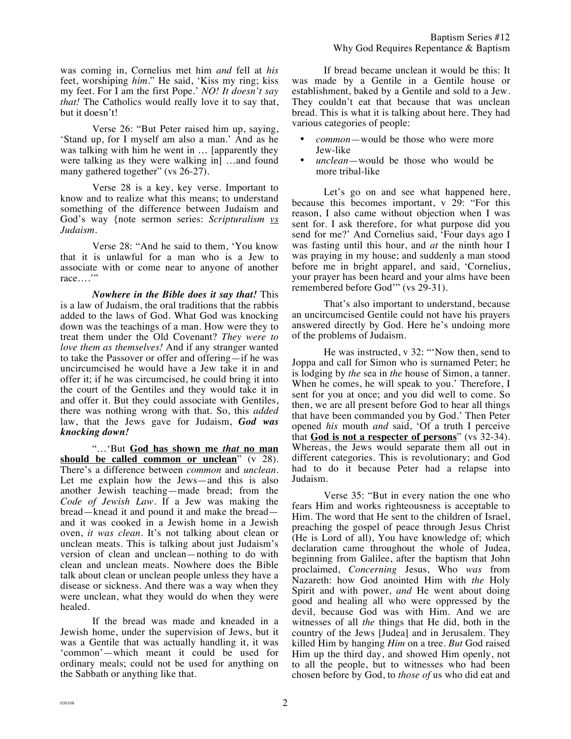was coming in, Cornelius met him *and* fell at *his* feet, worshiping *him*." He said, 'Kiss my ring; kiss my feet. For I am the first Pope.' *NO! It doesn't say that!* The Catholics would really love it to say that, but it doesn't!

Verse 26: "But Peter raised him up, saying, 'Stand up, for I myself am also a man.' And as he was talking with him he went in … [apparently they were talking as they were walking in] …and found many gathered together" (vs 26-27).

Verse 28 is a key, key verse. Important to know and to realize what this means; to understand something of the difference between Judaism and God's way {note sermon series: *Scripturalism vs Judaism.*

Verse 28: "And he said to them, 'You know that it is unlawful for a man who is a Jew to associate with or come near to anyone of another race…."

*Nowhere in the Bible does it say that!* This is a law of Judaism, the oral traditions that the rabbis added to the laws of God. What God was knocking down was the teachings of a man. How were they to treat them under the Old Covenant? *They were to love them as themselves!* And if any stranger wanted to take the Passover or offer and offering—if he was uncircumcised he would have a Jew take it in and offer it; if he was circumcised, he could bring it into the court of the Gentiles and they would take it in and offer it. But they could associate with Gentiles, there was nothing wrong with that. So, this *added* law, that the Jews gave for Judaism, *God was knocking down!* 

"…'But **God has shown me** *that* **no man should be called common or unclean**" (v 28). There's a difference between *common* and *unclean.* Let me explain how the Jews—and this is also another Jewish teaching—made bread; from the *Code of Jewish Law.* If a Jew was making the bread—knead it and pound it and make the bread and it was cooked in a Jewish home in a Jewish oven, *it was clean*. It's not talking about clean or unclean meats. This is talking about just Judaism's version of clean and unclean—nothing to do with clean and unclean meats. Nowhere does the Bible talk about clean or unclean people unless they have a disease or sickness. And there was a way when they were unclean, what they would do when they were healed.

If the bread was made and kneaded in a Jewish home, under the supervision of Jews, but it was a Gentile that was actually handling it, it was 'common'—which meant it could be used for ordinary meals; could not be used for anything on the Sabbath or anything like that.

If bread became unclean it would be this: It was made by a Gentile in a Gentile house or establishment, baked by a Gentile and sold to a Jew. They couldn't eat that because that was unclean bread. This is what it is talking about here. They had various categories of people:

- *common*—would be those who were more Jew-like
- *unclean*—would be those who would be more tribal-like

Let's go on and see what happened here, because this becomes important, v 29: "For this reason, I also came without objection when I was sent for. I ask therefore, for what purpose did you send for me?' And Cornelius said, 'Four days ago I was fasting until this hour, and *at* the ninth hour I was praying in my house; and suddenly a man stood before me in bright apparel, and said, 'Cornelius, your prayer has been heard and your alms have been remembered before God'" (vs 29-31).

That's also important to understand, because an uncircumcised Gentile could not have his prayers answered directly by God. Here he's undoing more of the problems of Judaism.

He was instructed, v 32: "'Now then, send to Joppa and call for Simon who is surnamed Peter; he is lodging by *the* sea in *the* house of Simon, a tanner. When he comes, he will speak to you.' Therefore, I sent for you at once; and you did well to come. So then, we are all present before God to hear all things that have been commanded you by God.' Then Peter opened *his* mouth *and* said, 'Of a truth I perceive that **God is not a respecter of persons**" (vs 32-34). Whereas, the Jews would separate them all out in different categories. This is revolutionary; and God had to do it because Peter had a relapse into Judaism.

Verse 35: "But in every nation the one who fears Him and works righteousness is acceptable to Him. The word that He sent to the children of Israel, preaching the gospel of peace through Jesus Christ (He is Lord of all), You have knowledge of; which declaration came throughout the whole of Judea, beginning from Galilee, after the baptism that John proclaimed, *Concerning* Jesus, Who *was* from Nazareth: how God anointed Him with *the* Holy Spirit and with power, *and* He went about doing good and healing all who were oppressed by the devil, because God was with Him. And we are witnesses of all *the* things that He did, both in the country of the Jews [Judea] and in Jerusalem. They killed Him by hanging *Him* on a tree. *But* God raised Him up the third day, and showed Him openly, not to all the people, but to witnesses who had been chosen before by God, to *those of* us who did eat and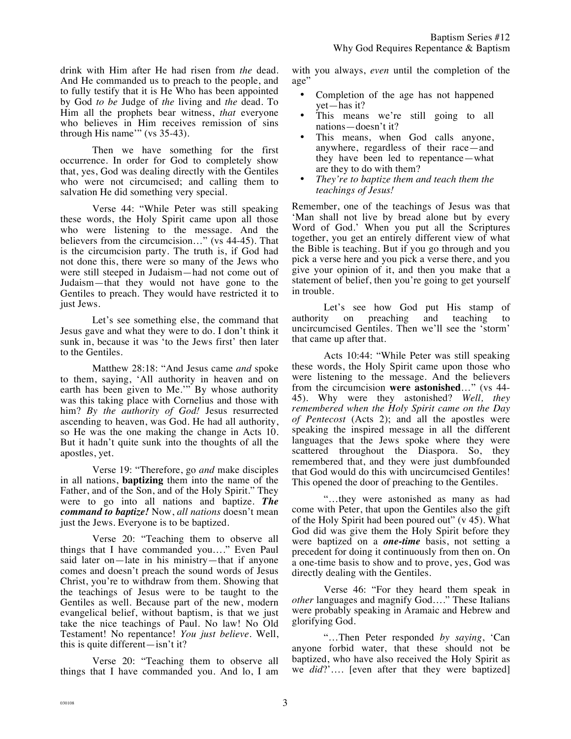drink with Him after He had risen from *the* dead. And He commanded us to preach to the people, and to fully testify that it is He Who has been appointed by God *to be* Judge of *the* living and *the* dead. To Him all the prophets bear witness, *that* everyone who believes in Him receives remission of sins through His name'" (vs 35-43).

Then we have something for the first occurrence. In order for God to completely show that, yes, God was dealing directly with the Gentiles who were not circumcised; and calling them to salvation He did something very special.

Verse 44: "While Peter was still speaking these words, the Holy Spirit came upon all those who were listening to the message. And the believers from the circumcision…" (vs 44-45). That is the circumcision party. The truth is, if God had not done this, there were so many of the Jews who were still steeped in Judaism—had not come out of Judaism—that they would not have gone to the Gentiles to preach. They would have restricted it to just Jews.

Let's see something else, the command that Jesus gave and what they were to do. I don't think it sunk in, because it was 'to the Jews first' then later to the Gentiles.

Matthew 28:18: "And Jesus came *and* spoke to them, saying, 'All authority in heaven and on earth has been given to Me.'" By whose authority was this taking place with Cornelius and those with him? *By the authority of God!* Jesus resurrected ascending to heaven, was God. He had all authority, so He was the one making the change in Acts 10. But it hadn't quite sunk into the thoughts of all the apostles, yet.

Verse 19: "Therefore, go *and* make disciples in all nations, **baptizing** them into the name of the Father, and of the Son, and of the Holy Spirit." They were to go into all nations and baptize. *The command to baptize!* Now, *all nations* doesn't mean just the Jews. Everyone is to be baptized.

Verse 20: "Teaching them to observe all things that I have commanded you…." Even Paul said later on—late in his ministry—that if anyone comes and doesn't preach the sound words of Jesus Christ, you're to withdraw from them. Showing that the teachings of Jesus were to be taught to the Gentiles as well. Because part of the new, modern evangelical belief, without baptism, is that we just take the nice teachings of Paul. No law! No Old Testament! No repentance! *You just believe.* Well, this is quite different—isn't it?

Verse 20: "Teaching them to observe all things that I have commanded you. And lo, I am with you always, *even* until the completion of the age"

- Completion of the age has not happened yet—has it?
- This means we're still going to all nations—doesn't it?
- This means, when God calls anyone, anywhere, regardless of their race—and they have been led to repentance—what are they to do with them?
- *They're to baptize them and teach them the teachings of Jesus!*

Remember, one of the teachings of Jesus was that 'Man shall not live by bread alone but by every Word of God.' When you put all the Scriptures together, you get an entirely different view of what the Bible is teaching. But if you go through and you pick a verse here and you pick a verse there, and you give your opinion of it, and then you make that a statement of belief, then you're going to get yourself in trouble.

Let's see how God put His stamp of authority on preaching and teaching to uncircumcised Gentiles. Then we'll see the 'storm' that came up after that.

Acts 10:44: "While Peter was still speaking these words, the Holy Spirit came upon those who were listening to the message. And the believers from the circumcision **were astonished**…" (vs 44- 45). Why were they astonished? *Well, they remembered when the Holy Spirit came on the Day of Pentecost* (Acts 2); and all the apostles were speaking the inspired message in all the different languages that the Jews spoke where they were scattered throughout the Diaspora. So, they remembered that, and they were just dumbfounded that God would do this with uncircumcised Gentiles! This opened the door of preaching to the Gentiles.

"…they were astonished as many as had come with Peter, that upon the Gentiles also the gift of the Holy Spirit had been poured out" (v 45). What God did was give them the Holy Spirit before they were baptized on a *one-time* basis, not setting a precedent for doing it continuously from then on. On a one-time basis to show and to prove, yes, God was directly dealing with the Gentiles.

Verse 46: "For they heard them speak in *other* languages and magnify God…." These Italians were probably speaking in Aramaic and Hebrew and glorifying God.

"…Then Peter responded *by saying*, 'Can anyone forbid water, that these should not be baptized, who have also received the Holy Spirit as we *did*?'…. [even after that they were baptized]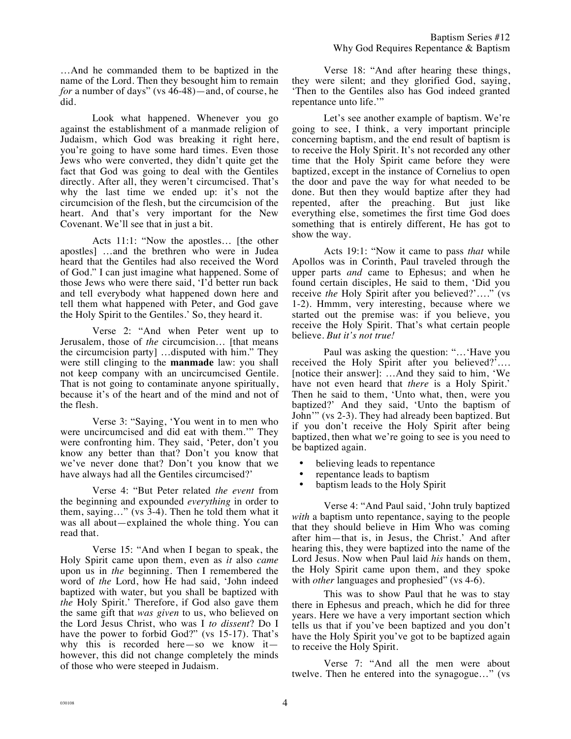…And he commanded them to be baptized in the name of the Lord. Then they besought him to remain *for* a number of days" (vs 46-48)—and, of course, he did.

Look what happened. Whenever you go against the establishment of a manmade religion of Judaism, which God was breaking it right here, you're going to have some hard times. Even those Jews who were converted, they didn't quite get the fact that God was going to deal with the Gentiles directly. After all, they weren't circumcised. That's why the last time we ended up: it's not the circumcision of the flesh, but the circumcision of the heart. And that's very important for the New Covenant. We'll see that in just a bit.

Acts 11:1: "Now the apostles… [the other apostles] …and the brethren who were in Judea heard that the Gentiles had also received the Word of God." I can just imagine what happened. Some of those Jews who were there said, 'I'd better run back and tell everybody what happened down here and tell them what happened with Peter, and God gave the Holy Spirit to the Gentiles.' So, they heard it.

Verse 2: "And when Peter went up to Jerusalem, those of *the* circumcision… [that means the circumcision party] …disputed with him." They were still clinging to the **manmade** law: you shall not keep company with an uncircumcised Gentile. That is not going to contaminate anyone spiritually, because it's of the heart and of the mind and not of the flesh.

Verse 3: "Saying, 'You went in to men who were uncircumcised and did eat with them.'" They were confronting him. They said, 'Peter, don't you know any better than that? Don't you know that we've never done that? Don't you know that we have always had all the Gentiles circumcised?'

Verse 4: "But Peter related *the event* from the beginning and expounded *everything* in order to them, saying…" (vs 3-4). Then he told them what it was all about—explained the whole thing. You can read that.

Verse 15: "And when I began to speak, the Holy Spirit came upon them, even as *it* also *came* upon us in *the* beginning. Then I remembered the word of *the* Lord, how He had said, 'John indeed baptized with water, but you shall be baptized with *the* Holy Spirit.' Therefore, if God also gave them the same gift that *was given* to us, who believed on the Lord Jesus Christ, who was I *to dissent*? Do I have the power to forbid God?" (vs 15-17). That's why this is recorded here—so we know it however, this did not change completely the minds of those who were steeped in Judaism.

Verse 18: "And after hearing these things, they were silent; and they glorified God, saying, 'Then to the Gentiles also has God indeed granted repentance unto life.'"

Let's see another example of baptism. We're going to see, I think, a very important principle concerning baptism, and the end result of baptism is to receive the Holy Spirit. It's not recorded any other time that the Holy Spirit came before they were baptized, except in the instance of Cornelius to open the door and pave the way for what needed to be done. But then they would baptize after they had repented, after the preaching. But just like everything else, sometimes the first time God does something that is entirely different, He has got to show the way.

Acts 19:1: "Now it came to pass *that* while Apollos was in Corinth, Paul traveled through the upper parts *and* came to Ephesus; and when he found certain disciples, He said to them, 'Did you receive *the* Holy Spirit after you believed?'…." (vs 1-2). Hmmm, very interesting, because where we started out the premise was: if you believe, you receive the Holy Spirit. That's what certain people believe. *But it's not true!* 

Paul was asking the question: "…'Have you received the Holy Spirit after you believed?'…. [notice their answer]: …And they said to him, 'We have not even heard that *there* is a Holy Spirit.' Then he said to them, 'Unto what, then, were you baptized?' And they said, 'Unto the baptism of John'" (vs 2-3). They had already been baptized. But if you don't receive the Holy Spirit after being baptized, then what we're going to see is you need to be baptized again.

- believing leads to repentance
- repentance leads to baptism
- baptism leads to the Holy Spirit

Verse 4: "And Paul said, 'John truly baptized *with* a baptism unto repentance, saying to the people that they should believe in Him Who was coming after him—that is, in Jesus, the Christ.' And after hearing this, they were baptized into the name of the Lord Jesus. Now when Paul laid *his* hands on them, the Holy Spirit came upon them, and they spoke with *other* languages and prophesied" (vs 4-6).

This was to show Paul that he was to stay there in Ephesus and preach, which he did for three years. Here we have a very important section which tells us that if you've been baptized and you don't have the Holy Spirit you've got to be baptized again to receive the Holy Spirit.

Verse 7: "And all the men were about twelve. Then he entered into the synagogue…" (vs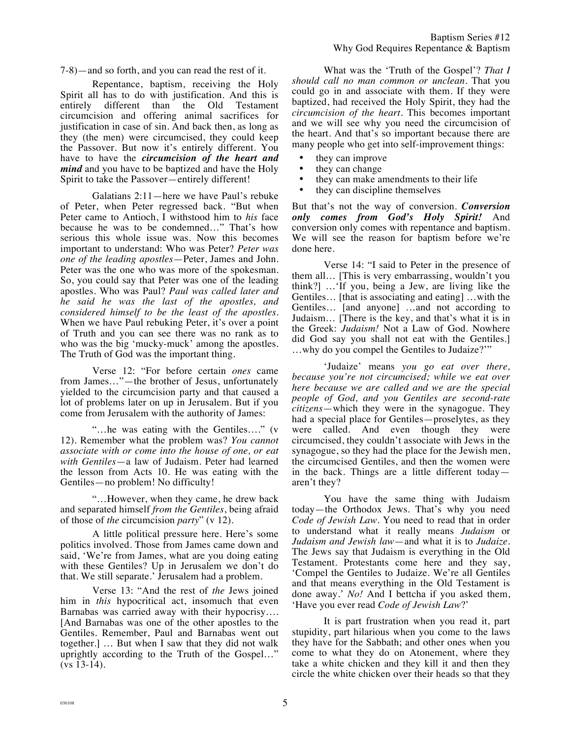7-8)—and so forth, and you can read the rest of it.

Repentance, baptism, receiving the Holy Spirit all has to do with justification. And this is entirely different than the Old Testament circumcision and offering animal sacrifices for justification in case of sin. And back then, as long as they (the men) were circumcised, they could keep the Passover. But now it's entirely different. You have to have the *circumcision of the heart and mind* and you have to be baptized and have the Holy Spirit to take the Passover—entirely different!

Galatians 2:11—here we have Paul's rebuke of Peter, when Peter regressed back. "But when Peter came to Antioch, I withstood him to *his* face because he was to be condemned…" That's how serious this whole issue was. Now this becomes important to understand: Who was Peter? *Peter was one of the leading apostles*—Peter, James and John. Peter was the one who was more of the spokesman. So, you could say that Peter was one of the leading apostles. Who was Paul? *Paul was called later and he said he was the last of the apostles, and considered himself to be the least of the apostles.* When we have Paul rebuking Peter, it's over a point of Truth and you can see there was no rank as to who was the big 'mucky-muck' among the apostles. The Truth of God was the important thing.

Verse 12: "For before certain *ones* came from James…"—the brother of Jesus, unfortunately yielded to the circumcision party and that caused a lot of problems later on up in Jerusalem. But if you come from Jerusalem with the authority of James:

"…he was eating with the Gentiles…." (v 12). Remember what the problem was? *You cannot associate with or come into the house of one, or eat with Gentiles*—a law of Judaism. Peter had learned the lesson from Acts 10. He was eating with the Gentiles—no problem! No difficulty!

"…However, when they came, he drew back and separated himself *from the Gentiles*, being afraid of those of *the* circumcision *party*" (v 12).

A little political pressure here. Here's some politics involved. Those from James came down and said, 'We're from James, what are you doing eating with these Gentiles? Up in Jerusalem we don't do that. We still separate.' Jerusalem had a problem.

Verse 13: "And the rest of *the* Jews joined him in *this* hypocritical act, insomuch that even Barnabas was carried away with their hypocrisy…. [And Barnabas was one of the other apostles to the Gentiles. Remember, Paul and Barnabas went out together.] … But when I saw that they did not walk uprightly according to the Truth of the Gospel…" (vs 13-14).

What was the 'Truth of the Gospel'? *That I should call no man common or unclean.* That you could go in and associate with them. If they were baptized, had received the Holy Spirit, they had the *circumcision of the heart.* This becomes important and we will see why you need the circumcision of the heart. And that's so important because there are many people who get into self-improvement things:

- they can improve
- they can change
- they can make amendments to their life<br>• they can discipline themselves
- they can discipline themselves

But that's not the way of conversion. *Conversion only comes from God's Holy Spirit!* And conversion only comes with repentance and baptism. We will see the reason for baptism before we're done here.

Verse 14: "I said to Peter in the presence of them all… [This is very embarrassing, wouldn't you think?] …'If you, being a Jew, are living like the Gentiles… [that is associating and eating] …with the Gentiles… [and anyone] …and not according to Judaism… [There is the key, and that's what it is in the Greek: *Judaism!* Not a Law of God. Nowhere did God say you shall not eat with the Gentiles.] …why do you compel the Gentiles to Judaize?'"

'Judaize' means *you go eat over there, because you're not circumcised; while we eat over here because we are called and we are the special people of God, and you Gentiles are second-rate citizens*—which they were in the synagogue. They had a special place for Gentiles—proselytes, as they were called. And even though they were circumcised, they couldn't associate with Jews in the synagogue, so they had the place for the Jewish men, the circumcised Gentiles, and then the women were in the back. Things are a little different today aren't they?

You have the same thing with Judaism today—the Orthodox Jews. That's why you need *Code of Jewish Law.* You need to read that in order to understand what it really means *Judaism* or *Judaism and Jewish law*—and what it is to *Judaize*. The Jews say that Judaism is everything in the Old Testament. Protestants come here and they say, 'Compel the Gentiles to Judaize. We're all Gentiles and that means everything in the Old Testament is done away.' *No!* And I bettcha if you asked them, 'Have you ever read *Code of Jewish Law*?'

It is part frustration when you read it, part stupidity, part hilarious when you come to the laws they have for the Sabbath; and other ones when you come to what they do on Atonement, where they take a white chicken and they kill it and then they circle the white chicken over their heads so that they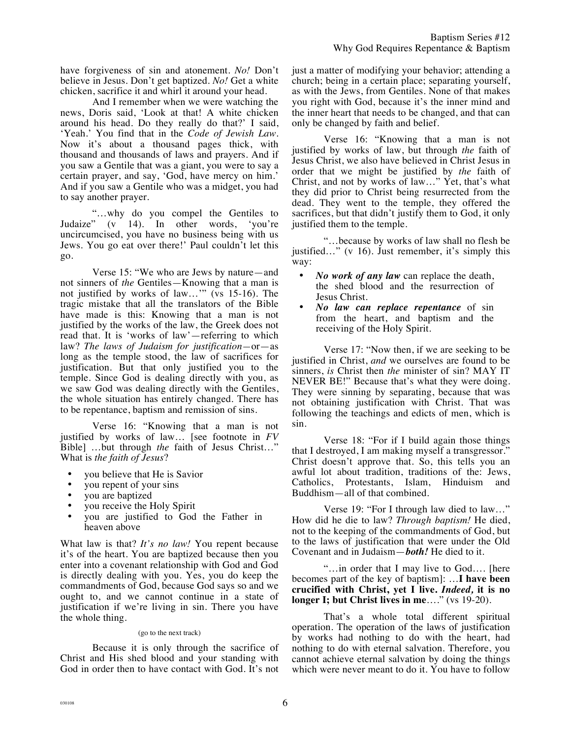have forgiveness of sin and atonement. *No!* Don't believe in Jesus. Don't get baptized. *No!* Get a white chicken, sacrifice it and whirl it around your head.

And I remember when we were watching the news, Doris said, 'Look at that! A white chicken around his head. Do they really do that?' I said, 'Yeah.' You find that in the *Code of Jewish Law*. Now it's about a thousand pages thick, with thousand and thousands of laws and prayers. And if you saw a Gentile that was a giant, you were to say a certain prayer, and say, 'God, have mercy on him.' And if you saw a Gentile who was a midget, you had to say another prayer.

"…why do you compel the Gentiles to Judaize" (v 14). In other words, 'you're uncircumcised, you have no business being with us Jews. You go eat over there!' Paul couldn't let this go.

Verse 15: "We who are Jews by nature—and not sinners of *the* Gentiles—Knowing that a man is not justified by works of law…'" (vs 15-16). The tragic mistake that all the translators of the Bible have made is this: Knowing that a man is not justified by the works of the law, the Greek does not read that. It is 'works of law'—referring to which law? *The laws of Judaism for justification—*or—as long as the temple stood, the law of sacrifices for justification. But that only justified you to the temple. Since God is dealing directly with you, as we saw God was dealing directly with the Gentiles, the whole situation has entirely changed. There has to be repentance, baptism and remission of sins.

Verse 16: "Knowing that a man is not justified by works of law… [see footnote in *FV*  Bible] …but through *the* faith of Jesus Christ…" What is *the faith of Jesus*?

- you believe that He is Savior
- you repent of your sins
- you are baptized
- you receive the Holy Spirit
- you are justified to God the Father in heaven above

What law is that? *It's no law!* You repent because it's of the heart. You are baptized because then you enter into a covenant relationship with God and God is directly dealing with you. Yes, you do keep the commandments of God, because God says so and we ought to, and we cannot continue in a state of justification if we're living in sin. There you have the whole thing.

## (go to the next track)

Because it is only through the sacrifice of Christ and His shed blood and your standing with God in order then to have contact with God. It's not just a matter of modifying your behavior; attending a church; being in a certain place; separating yourself, as with the Jews, from Gentiles. None of that makes you right with God, because it's the inner mind and the inner heart that needs to be changed, and that can only be changed by faith and belief.

Verse 16: "Knowing that a man is not justified by works of law, but through *the* faith of Jesus Christ, we also have believed in Christ Jesus in order that we might be justified by *the* faith of Christ, and not by works of law…" Yet, that's what they did prior to Christ being resurrected from the dead. They went to the temple, they offered the sacrifices, but that didn't justify them to God, it only justified them to the temple.

"…because by works of law shall no flesh be justified..." (v 16). Just remember, it's simply this way:

- *No work of any law* can replace the death, the shed blood and the resurrection of Jesus Christ.
- *No law can replace repentance* of sin from the heart, and baptism and the receiving of the Holy Spirit.

Verse 17: "Now then, if we are seeking to be justified in Christ, *and* we ourselves are found to be sinners, *is* Christ then *the* minister of sin? MAY IT NEVER BE!" Because that's what they were doing. They were sinning by separating, because that was not obtaining justification with Christ. That was following the teachings and edicts of men, which is sin.

Verse 18: "For if I build again those things that I destroyed, I am making myself a transgressor." Christ doesn't approve that. So, this tells you an awful lot about tradition, traditions of the: Jews, Catholics, Protestants, Islam, Hinduism and Buddhism—all of that combined.

Verse 19: "For I through law died to law…" How did he die to law? *Through baptism!* He died, not to the keeping of the commandments of God, but to the laws of justification that were under the Old Covenant and in Judaism—*both!* He died to it.

"…in order that I may live to God…. [here becomes part of the key of baptism]: …**I have been crucified with Christ, yet I live.** *Indeed,* **it is no longer I; but Christ lives in me**…." (vs 19-20).

That's a whole total different spiritual operation. The operation of the laws of justification by works had nothing to do with the heart, had nothing to do with eternal salvation. Therefore, you cannot achieve eternal salvation by doing the things which were never meant to do it. You have to follow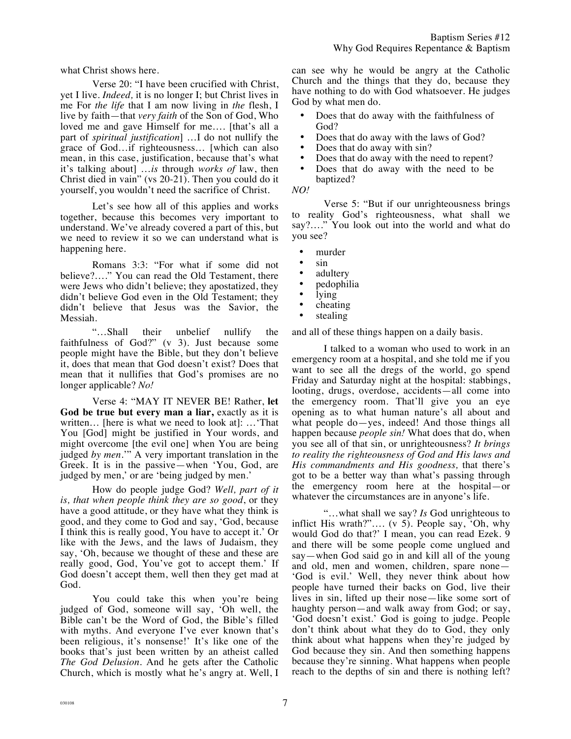what Christ shows here.

Verse 20: "I have been crucified with Christ, yet I live. *Indeed,* it is no longer I; but Christ lives in me For *the life* that I am now living in *the* flesh, I live by faith—that *very faith* of the Son of God, Who loved me and gave Himself for me…. [that's all a part of *spiritual justification*] …I do not nullify the grace of God…if righteousness… [which can also mean, in this case, justification, because that's what it's talking about] …*is* through *works of* law, then Christ died in vain" (vs 20-21). Then you could do it yourself, you wouldn't need the sacrifice of Christ.

Let's see how all of this applies and works together, because this becomes very important to understand. We've already covered a part of this, but we need to review it so we can understand what is happening here.

Romans 3:3: "For what if some did not believe?…." You can read the Old Testament, there were Jews who didn't believe; they apostatized, they didn't believe God even in the Old Testament; they didn't believe that Jesus was the Savior, the Messiah.

"…Shall their unbelief nullify the faithfulness of God?" (v 3). Just because some people might have the Bible, but they don't believe it, does that mean that God doesn't exist? Does that mean that it nullifies that God's promises are no longer applicable? *No!*

Verse 4: "MAY IT NEVER BE! Rather, **let God be true but every man a liar,** exactly as it is written… [here is what we need to look at]: …'That You [God] might be justified in Your words, and might overcome [the evil one] when You are being judged *by men.*'" A very important translation in the Greek. It is in the passive—when 'You, God, are judged by men,' or are 'being judged by men.'

How do people judge God? *Well, part of it is, that when people think they are so good*, or they have a good attitude, or they have what they think is good, and they come to God and say, 'God, because I think this is really good, You have to accept it.' Or like with the Jews, and the laws of Judaism, they say, 'Oh, because we thought of these and these are really good, God, You've got to accept them.' If God doesn't accept them, well then they get mad at God.

You could take this when you're being judged of God, someone will say, 'Oh well, the Bible can't be the Word of God, the Bible's filled with myths. And everyone I've ever known that's been religious, it's nonsense!' It's like one of the books that's just been written by an atheist called *The God Delusion.* And he gets after the Catholic Church, which is mostly what he's angry at. Well, I can see why he would be angry at the Catholic Church and the things that they do, because they have nothing to do with God whatsoever. He judges God by what men do.

- Does that do away with the faithfulness of God?
- Does that do away with the laws of God?<br>• Does that do away with sin?
- Does that do away with sin?
- Does that do away with the need to repent?<br>• Does that do away with the need to be
- Does that do away with the need to be baptized?
- *NO!*

Verse 5: "But if our unrighteousness brings to reality God's righteousness, what shall we say?…." You look out into the world and what do you see?

- murder
- sin
- adultery
- pedophilia
- lying
- cheating
- stealing

and all of these things happen on a daily basis.

I talked to a woman who used to work in an emergency room at a hospital, and she told me if you want to see all the dregs of the world, go spend Friday and Saturday night at the hospital: stabbings, looting, drugs, overdose, accidents—all come into the emergency room. That'll give you an eye opening as to what human nature's all about and what people do—yes, indeed! And those things all happen because *people sin!* What does that do, when you see all of that sin, or unrighteousness? *It brings to reality the righteousness of God and His laws and His commandments and His goodness,* that there's got to be a better way than what's passing through the emergency room here at the hospital—or whatever the circumstances are in anyone's life.

"…what shall we say? *Is* God unrighteous to inflict His wrath?"…. (v 5). People say, 'Oh, why would God do that?' I mean, you can read Ezek. 9 and there will be some people come unglued and say—when God said go in and kill all of the young and old, men and women, children, spare none— 'God is evil.' Well, they never think about how people have turned their backs on God, live their lives in sin, lifted up their nose—like some sort of haughty person—and walk away from God; or say, 'God doesn't exist.' God is going to judge. People don't think about what they do to God, they only think about what happens when they're judged by God because they sin. And then something happens because they're sinning. What happens when people reach to the depths of sin and there is nothing left?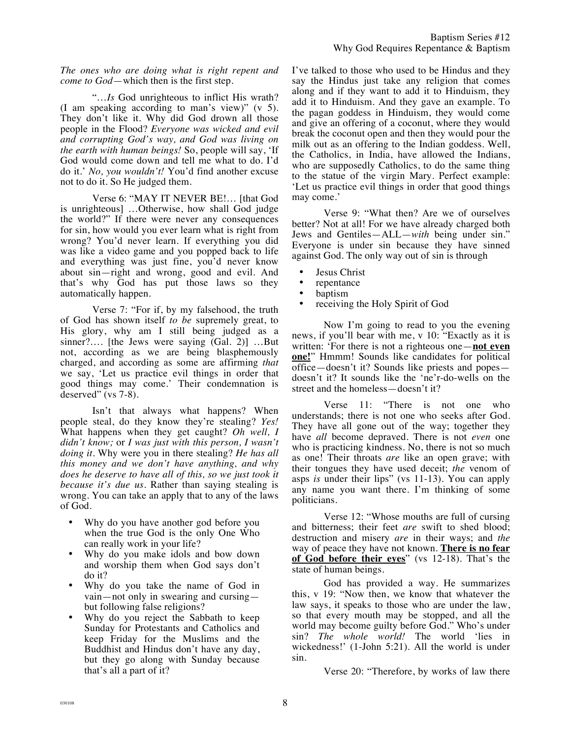*The ones who are doing what is right repent and come to God*—which then is the first step.

"…*Is* God unrighteous to inflict His wrath? (I am speaking according to man's view)" (v 5). They don't like it. Why did God drown all those people in the Flood? *Everyone was wicked and evil and corrupting God's way, and God was living on the earth with human beings!* So, people will say, 'If God would come down and tell me what to do. I'd do it.' *No, you wouldn't!* You'd find another excuse not to do it. So He judged them.

Verse 6: "MAY IT NEVER BE!… [that God is unrighteous] …Otherwise, how shall God judge the world?" If there were never any consequences for sin, how would you ever learn what is right from wrong? You'd never learn. If everything you did was like a video game and you popped back to life and everything was just fine, you'd never know about sin—right and wrong, good and evil. And that's why God has put those laws so they automatically happen.

Verse 7: "For if, by my falsehood, the truth of God has shown itself *to be* supremely great, to His glory, why am I still being judged as a sinner?…. [the Jews were saying (Gal. 2)] …But not, according as we are being blasphemously charged, and according as some are affirming *that* we say, 'Let us practice evil things in order that good things may come.' Their condemnation is deserved"  $(vs 7-8)$ .

Isn't that always what happens? When people steal, do they know they're stealing? *Yes!* What happens when they get caught? *Oh well, I didn't know;* or *I was just with this person, I wasn't doing it.* Why were you in there stealing? *He has all this money and we don't have anything, and why does he deserve to have all of this, so we just took it because it's due us.* Rather than saying stealing is wrong. You can take an apply that to any of the laws of God.

- Why do you have another god before you when the true God is the only One Who can really work in your life?
- Why do you make idols and bow down and worship them when God says don't do it?
- Why do you take the name of God in vain—not only in swearing and cursing but following false religions?
- Why do you reject the Sabbath to keep Sunday for Protestants and Catholics and keep Friday for the Muslims and the Buddhist and Hindus don't have any day, but they go along with Sunday because that's all a part of it?

I've talked to those who used to be Hindus and they say the Hindus just take any religion that comes along and if they want to add it to Hinduism, they add it to Hinduism. And they gave an example. To the pagan goddess in Hinduism, they would come and give an offering of a coconut, where they would break the coconut open and then they would pour the milk out as an offering to the Indian goddess. Well, the Catholics, in India, have allowed the Indians, who are supposedly Catholics, to do the same thing to the statue of the virgin Mary. Perfect example: 'Let us practice evil things in order that good things may come.'

Verse 9: "What then? Are we of ourselves better? Not at all! For we have already charged both Jews and Gentiles—ALL—*with* being under sin." Everyone is under sin because they have sinned against God. The only way out of sin is through

- Jesus Christ
- repentance
- baptism
- receiving the Holy Spirit of God

Now I'm going to read to you the evening news, if you'll bear with me, v 10: "Exactly as it is written: 'For there is not a righteous one—**not even one!**" Hmmm! Sounds like candidates for political office—doesn't it? Sounds like priests and popes doesn't it? It sounds like the 'ne'r-do-wells on the street and the homeless—doesn't it?

Verse 11: "There is not one who understands; there is not one who seeks after God. They have all gone out of the way; together they have *all* become depraved. There is not *even* one who is practicing kindness. No, there is not so much as one! Their throats *are* like an open grave; with their tongues they have used deceit; *the* venom of asps *is* under their lips" (vs 11-13). You can apply any name you want there. I'm thinking of some politicians.

Verse 12: "Whose mouths are full of cursing and bitterness; their feet *are* swift to shed blood; destruction and misery *are* in their ways; and *the* way of peace they have not known. **There is no fear of God before their eyes**" (vs 12-18). That's the state of human beings.

God has provided a way. He summarizes this, v 19: "Now then, we know that whatever the law says, it speaks to those who are under the law, so that every mouth may be stopped, and all the world may become guilty before God." Who's under sin? *The whole world!* The world 'lies in wickedness!' (1-John 5:21). All the world is under sin.

Verse 20: "Therefore, by works of law there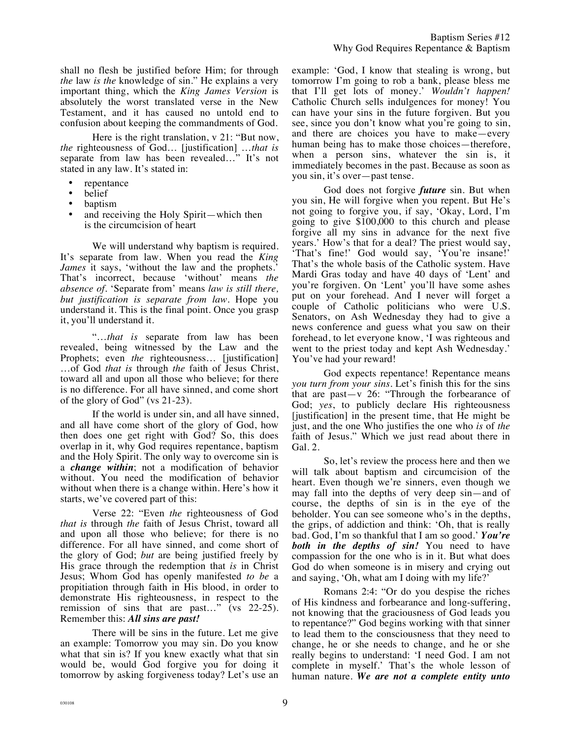shall no flesh be justified before Him; for through *the* law *is the* knowledge of sin." He explains a very important thing, which the *King James Version* is absolutely the worst translated verse in the New Testament, and it has caused no untold end to confusion about keeping the commandments of God.

Here is the right translation, v 21: "But now, *the* righteousness of God… [justification] …*that is* separate from law has been revealed…" It's not stated in any law. It's stated in:

- repentance
- belief
- baptism
- and receiving the Holy Spirit—which then is the circumcision of heart

We will understand why baptism is required. It's separate from law. When you read the *King James* it says, 'without the law and the prophets.' That's incorrect, because 'without' means *the absence of.* 'Separate from' means *law is still there, but justification is separate from law.* Hope you understand it. This is the final point. Once you grasp it, you'll understand it.

"…*that is* separate from law has been revealed, being witnessed by the Law and the Prophets; even *the* righteousness… [justification] …of God *that is* through *the* faith of Jesus Christ, toward all and upon all those who believe; for there is no difference. For all have sinned, and come short of the glory of God" (vs 21-23).

If the world is under sin, and all have sinned, and all have come short of the glory of God, how then does one get right with God? So, this does overlap in it, why God requires repentance, baptism and the Holy Spirit. The only way to overcome sin is a *change within*; not a modification of behavior without. You need the modification of behavior without when there is a change within. Here's how it starts, we've covered part of this:

Verse 22: "Even *the* righteousness of God *that is* through *the* faith of Jesus Christ, toward all and upon all those who believe; for there is no difference. For all have sinned, and come short of the glory of God; *but* are being justified freely by His grace through the redemption that *is* in Christ Jesus; Whom God has openly manifested *to be* a propitiation through faith in His blood, in order to demonstrate His righteousness, in respect to the remission of sins that are past…" (vs 22-25). Remember this: *All sins are past!* 

There will be sins in the future. Let me give an example: Tomorrow you may sin. Do you know what that sin is? If you knew exactly what that sin would be, would God forgive you for doing it tomorrow by asking forgiveness today? Let's use an

example: 'God, I know that stealing is wrong, but tomorrow I'm going to rob a bank, please bless me that I'll get lots of money.' *Wouldn't happen!* Catholic Church sells indulgences for money! You can have your sins in the future forgiven. But you see, since you don't know what you're going to sin, and there are choices you have to make—every human being has to make those choices—therefore, when a person sins, whatever the sin is, it immediately becomes in the past. Because as soon as you sin, it's over—past tense.

God does not forgive *future* sin. But when you sin, He will forgive when you repent. But He's not going to forgive you, if say, 'Okay, Lord, I'm going to give \$100,000 to this church and please forgive all my sins in advance for the next five years.' How's that for a deal? The priest would say, 'That's fine!' God would say, 'You're insane!' That's the whole basis of the Catholic system. Have Mardi Gras today and have 40 days of 'Lent' and you're forgiven. On 'Lent' you'll have some ashes put on your forehead. And I never will forget a couple of Catholic politicians who were U.S. Senators, on Ash Wednesday they had to give a news conference and guess what you saw on their forehead, to let everyone know, 'I was righteous and went to the priest today and kept Ash Wednesday.' You've had your reward!

God expects repentance! Repentance means *you turn from your sins.* Let's finish this for the sins that are past—v 26: "Through the forbearance of God; *yes*, to publicly declare His righteousness [justification] in the present time, that He might be just, and the one Who justifies the one who *is* of *the* faith of Jesus." Which we just read about there in Gal. 2.

So, let's review the process here and then we will talk about baptism and circumcision of the heart. Even though we're sinners, even though we may fall into the depths of very deep sin—and of course, the depths of sin is in the eye of the beholder. You can see someone who's in the depths, the grips, of addiction and think: 'Oh, that is really bad. God, I'm so thankful that I am so good.' *You're both in the depths of sin!* You need to have compassion for the one who is in it. But what does God do when someone is in misery and crying out and saying, 'Oh, what am I doing with my life?'

Romans 2:4: "Or do you despise the riches of His kindness and forbearance and long-suffering, not knowing that the graciousness of God leads you to repentance?" God begins working with that sinner to lead them to the consciousness that they need to change, he or she needs to change, and he or she really begins to understand: 'I need God. I am not complete in myself.' That's the whole lesson of human nature. *We are not a complete entity unto*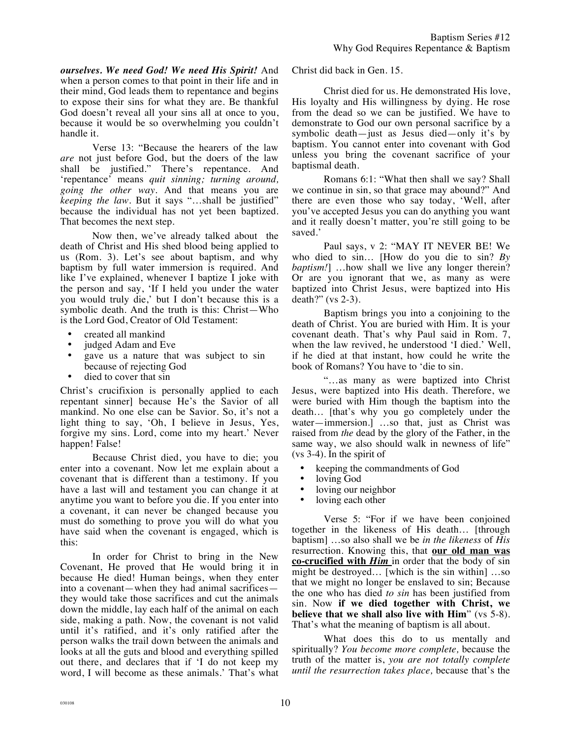*ourselves. We need God! We need His Spirit!* And when a person comes to that point in their life and in their mind, God leads them to repentance and begins to expose their sins for what they are. Be thankful God doesn't reveal all your sins all at once to you, because it would be so overwhelming you couldn't handle it.

Verse 13: "Because the hearers of the law *are* not just before God, but the doers of the law shall be justified." There's repentance. And 'repentance' means *quit sinning; turning around, going the other way.* And that means you are *keeping the law.* But it says "…shall be justified" because the individual has not yet been baptized. That becomes the next step.

Now then, we've already talked about the death of Christ and His shed blood being applied to us (Rom. 3). Let's see about baptism, and why baptism by full water immersion is required. And like I've explained, whenever I baptize I joke with the person and say, 'If I held you under the water you would truly die,' but I don't because this is a symbolic death. And the truth is this: Christ—Who is the Lord God, Creator of Old Testament:

- created all mankind
- judged Adam and Eve
- gave us a nature that was subject to sin because of rejecting God
- died to cover that sin

Christ's crucifixion is personally applied to each repentant sinner] because He's the Savior of all mankind. No one else can be Savior. So, it's not a light thing to say, 'Oh, I believe in Jesus, Yes, forgive my sins. Lord, come into my heart.' Never happen! False!

Because Christ died, you have to die; you enter into a covenant. Now let me explain about a covenant that is different than a testimony. If you have a last will and testament you can change it at anytime you want to before you die. If you enter into a covenant, it can never be changed because you must do something to prove you will do what you have said when the covenant is engaged, which is this:

In order for Christ to bring in the New Covenant, He proved that He would bring it in because He died! Human beings, when they enter into a covenant—when they had animal sacrifices they would take those sacrifices and cut the animals down the middle, lay each half of the animal on each side, making a path. Now, the covenant is not valid until it's ratified, and it's only ratified after the person walks the trail down between the animals and looks at all the guts and blood and everything spilled out there, and declares that if 'I do not keep my word, I will become as these animals.' That's what Christ did back in Gen. 15.

Christ died for us. He demonstrated His love, His loyalty and His willingness by dying. He rose from the dead so we can be justified. We have to demonstrate to God our own personal sacrifice by a symbolic death—just as Jesus died—only it's by baptism. You cannot enter into covenant with God unless you bring the covenant sacrifice of your baptismal death.

Romans 6:1: "What then shall we say? Shall we continue in sin, so that grace may abound?" And there are even those who say today, 'Well, after you've accepted Jesus you can do anything you want and it really doesn't matter, you're still going to be saved.'

Paul says, v 2: "MAY IT NEVER BE! We who died to sin… [How do you die to sin? *By baptism!*] ...how shall we live any longer therein? Or are you ignorant that we, as many as were baptized into Christ Jesus, were baptized into His death?" (vs 2-3).

Baptism brings you into a conjoining to the death of Christ. You are buried with Him. It is your covenant death. That's why Paul said in Rom. 7, when the law revived, he understood 'I died.' Well, if he died at that instant, how could he write the book of Romans? You have to 'die to sin.

"…as many as were baptized into Christ Jesus, were baptized into His death. Therefore, we were buried with Him though the baptism into the death… [that's why you go completely under the water—immersion.] …so that, just as Christ was raised from *the* dead by the glory of the Father, in the same way, we also should walk in newness of life" (vs 3-4). In the spirit of

- keeping the commandments of God<br>• loving God
- loving God
- loving our neighbor
- loving each other

Verse 5: "For if we have been conjoined together in the likeness of His death… [through baptism] …so also shall we be *in the likeness* of *His* resurrection. Knowing this, that **our old man was co-crucified with** *Him* in order that the body of sin might be destroyed… [which is the sin within] …so that we might no longer be enslaved to sin; Because the one who has died *to sin* has been justified from sin. Now **if we died together with Christ, we believe that we shall also live with Him**" (vs 5-8). That's what the meaning of baptism is all about.

What does this do to us mentally and spiritually? *You become more complete,* because the truth of the matter is, *you are not totally complete until the resurrection takes place,* because that's the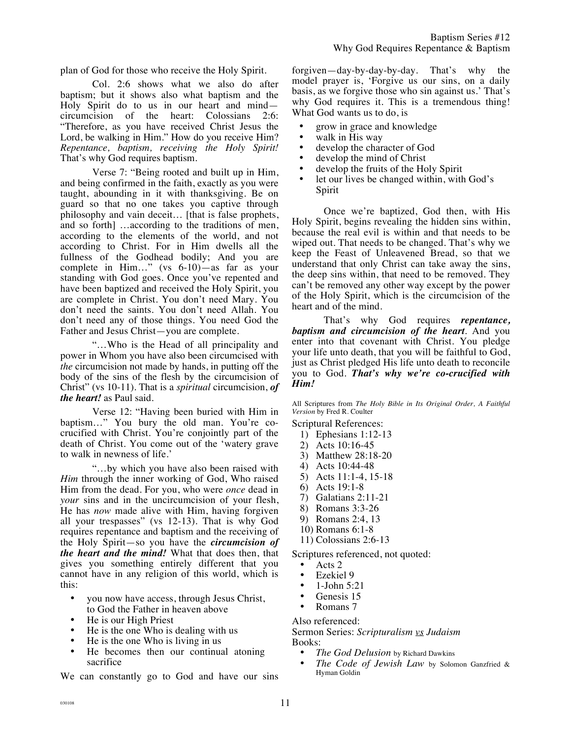plan of God for those who receive the Holy Spirit.

Col. 2:6 shows what we also do after baptism; but it shows also what baptism and the Holy Spirit do to us in our heart and mind circumcision of the heart: Colossians 2:6: "Therefore, as you have received Christ Jesus the Lord, be walking in Him." How do you receive Him? *Repentance, baptism, receiving the Holy Spirit!* That's why God requires baptism.

Verse 7: "Being rooted and built up in Him, and being confirmed in the faith, exactly as you were taught, abounding in it with thanksgiving. Be on guard so that no one takes you captive through philosophy and vain deceit… [that is false prophets, and so forth] …according to the traditions of men, according to the elements of the world, and not according to Christ. For in Him dwells all the fullness of the Godhead bodily; And you are complete in Him…" (vs 6-10)—as far as your standing with God goes. Once you've repented and have been baptized and received the Holy Spirit, you are complete in Christ. You don't need Mary. You don't need the saints. You don't need Allah. You don't need any of those things. You need God the Father and Jesus Christ—you are complete.

"…Who is the Head of all principality and power in Whom you have also been circumcised with *the* circumcision not made by hands, in putting off the body of the sins of the flesh by the circumcision of Christ" (vs 10-11). That is a *spiritual* circumcision, *of the heart!* as Paul said.

Verse 12: "Having been buried with Him in baptism…" You bury the old man. You're cocrucified with Christ. You're conjointly part of the death of Christ. You come out of the 'watery grave to walk in newness of life.'

"…by which you have also been raised with *Him* through the inner working of God, Who raised Him from the dead. For you, who were *once* dead in *your* sins and in the uncircumcision of your flesh, He has *now* made alive with Him, having forgiven all your trespasses" (vs 12-13). That is why God requires repentance and baptism and the receiving of the Holy Spirit—so you have the *circumcision of the heart and the mind!* What that does then, that gives you something entirely different that you cannot have in any religion of this world, which is this:

- you now have access, through Jesus Christ, to God the Father in heaven above
- He is our High Priest
- He is the one Who is dealing with us
- He is the one Who is living in us<br>• He becomes then our continua
- He becomes then our continual atoning sacrifice

We can constantly go to God and have our sins

forgiven—day-by-day-by-day. That's why the model prayer is, 'Forgive us our sins, on a daily basis, as we forgive those who sin against us.' That's why God requires it. This is a tremendous thing! What God wants us to do, is

- grow in grace and knowledge
- walk in His way<br>• develop the char
- develop the character of God
- develop the mind of Christ
- develop the fruits of the Holy Spirit<br>• let our lives be changed within with
- let our lives be changed within, with God's Spirit

Once we're baptized, God then, with His Holy Spirit, begins revealing the hidden sins within, because the real evil is within and that needs to be wiped out. That needs to be changed. That's why we keep the Feast of Unleavened Bread, so that we understand that only Christ can take away the sins, the deep sins within, that need to be removed. They can't be removed any other way except by the power of the Holy Spirit, which is the circumcision of the heart and of the mind.

That's why God requires *repentance, baptism and circumcision of the heart*. And you enter into that covenant with Christ. You pledge your life unto death, that you will be faithful to God, just as Christ pledged His life unto death to reconcile you to God. *That's why we're co-crucified with Him!*

All Scriptures from *The Holy Bible in Its Original Order, A Faithful Version* by Fred R. Coulter

Scriptural References:

- 1) Ephesians 1:12-13
- 2) Acts 10:16-45
- 3) Matthew 28:18-20
- 4) Acts 10:44-48
- 5) Acts 11:1-4, 15-18
- 6) Acts 19:1-8
- 7) Galatians 2:11-21
- 8) Romans 3:3-26
- 9) Romans 2:4, 13
- 10) Romans 6:1-8
- 11) Colossians 2:6-13

Scriptures referenced, not quoted:

- Acts 2<br>• Ezekie
- Ezekiel 9<br>• 1 John 5:
- 1-John 5:21
- Genesis 15
- Romans 7

Also referenced:

Sermon Series: *Scripturalism vs Judaism* Books:

- *The God Delusion* by Richard Dawkins
- *The Code of Jewish Law* by Solomon Ganzfried & Hyman Goldin